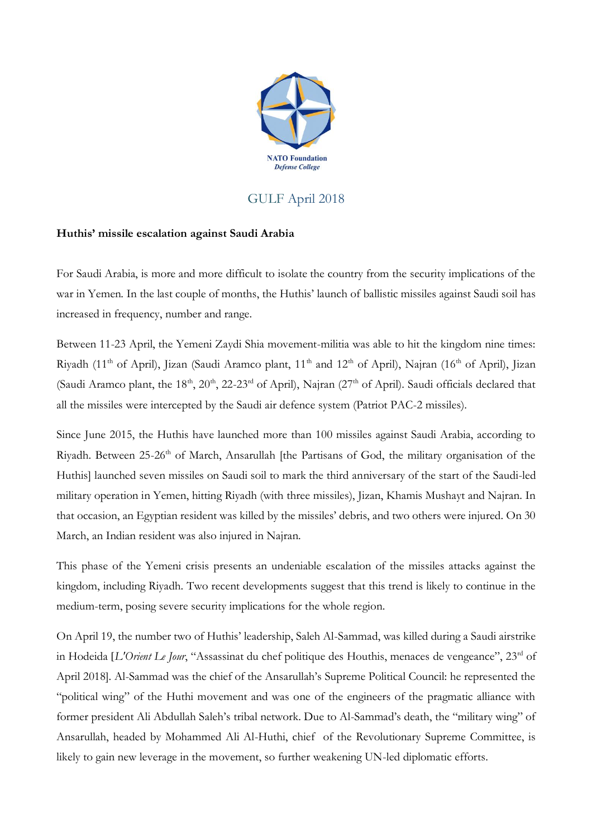

## GULF April 2018

## **Huthis' missile escalation against Saudi Arabia**

For Saudi Arabia, is more and more difficult to isolate the country from the security implications of the war in Yemen. In the last couple of months, the Huthis' launch of ballistic missiles against Saudi soil has increased in frequency, number and range.

Between 11-23 April, the Yemeni Zaydi Shia movement-militia was able to hit the kingdom nine times: Riyadh (11<sup>th</sup> of April), Jizan (Saudi Aramco plant, 11<sup>th</sup> and 12<sup>th</sup> of April), Najran (16<sup>th</sup> of April), Jizan (Saudi Aramco plant, the 18<sup>th</sup>, 20<sup>th</sup>, 22-23<sup>rd</sup> of April), Najran (27<sup>th</sup> of April). Saudi officials declared that all the missiles were intercepted by the Saudi air defence system (Patriot PAC-2 missiles).

Since June 2015, the Huthis have launched more than 100 missiles against Saudi Arabia, according to Riyadh. Between 25-26<sup>th</sup> of March, Ansarullah [the Partisans of God, the military organisation of the Huthis] launched seven missiles on Saudi soil to mark the third anniversary of the start of the Saudi-led military operation in Yemen, hitting Riyadh (with three missiles), Jizan, Khamis Mushayt and Najran. In that occasion, an Egyptian resident was killed by the missiles' debris, and two others were injured. On 30 March, an Indian resident was also injured in Najran.

This phase of the Yemeni crisis presents an undeniable escalation of the missiles attacks against the kingdom, including Riyadh. Two recent developments suggest that this trend is likely to continue in the medium-term, posing severe security implications for the whole region.

On April 19, the number two of Huthis' leadership, Saleh Al-Sammad, was killed during a Saudi airstrike in Hodeida [*L'Orient Le Jour*, "Assassinat du chef politique des Houthis, menaces de vengeance", 23rd of April 2018]. Al-Sammad was the chief of the Ansarullah's Supreme Political Council: he represented the "political wing" of the Huthi movement and was one of the engineers of the pragmatic alliance with former president Ali Abdullah Saleh's tribal network. Due to Al-Sammad's death, the "military wing" of Ansarullah, headed by Mohammed Ali Al-Huthi, chief of the Revolutionary Supreme Committee, is likely to gain new leverage in the movement, so further weakening UN-led diplomatic efforts.